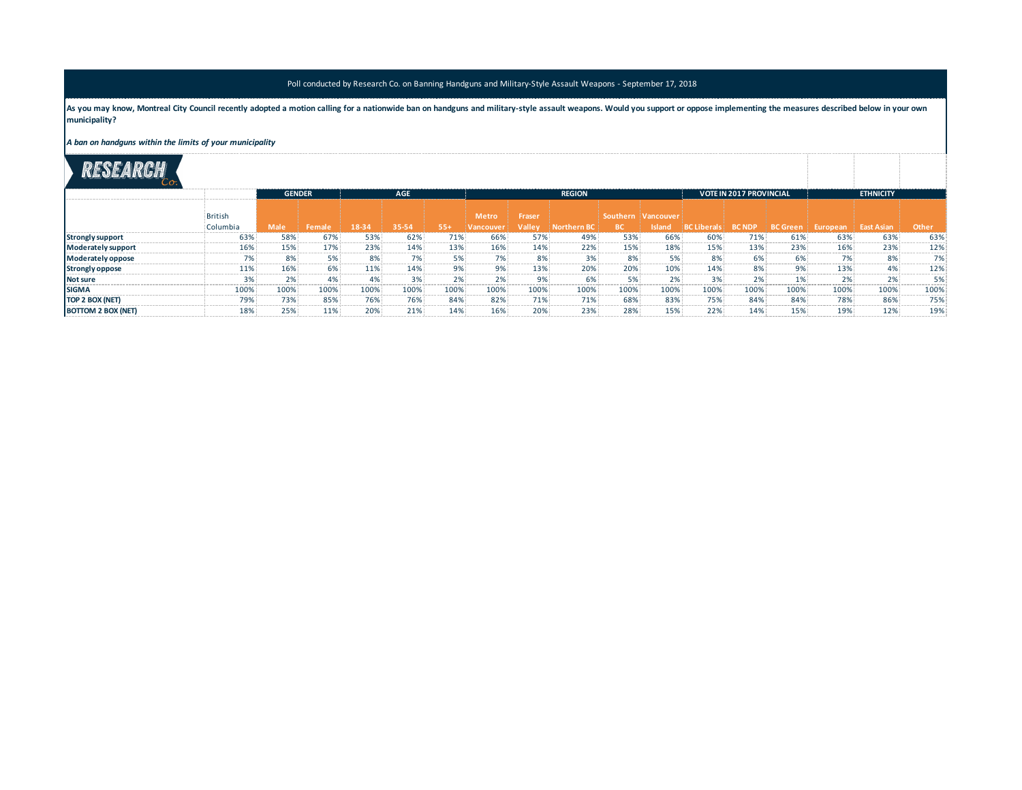## Poll conducted by Research Co. on Banning Handguns and Military-Style Assault Weapons - September 17, 2018

As you may know, Montreal City Council recently adopted a motion calling for a nationwide ban on handguns and military-style assault weapons. Would you support or oppose implementing the measures described below in your ow **municipality?**

*A ban on handguns within the limits of your municipality*

|                           |                                       | <b>GENDER</b>                                                                                     |                                         | <b>AGE</b>                                      |                                                    |                                        |                                                                    |                                              | <b>REGION</b>                                                                                                                                                      |                                                                              | VOTE IN 2017 PROVINCIAL                                          |                                                                      |                                                                                                                            | <b>ETHNICITY</b>            |                                  |                                                        |                                                  |
|---------------------------|---------------------------------------|---------------------------------------------------------------------------------------------------|-----------------------------------------|-------------------------------------------------|----------------------------------------------------|----------------------------------------|--------------------------------------------------------------------|----------------------------------------------|--------------------------------------------------------------------------------------------------------------------------------------------------------------------|------------------------------------------------------------------------------|------------------------------------------------------------------|----------------------------------------------------------------------|----------------------------------------------------------------------------------------------------------------------------|-----------------------------|----------------------------------|--------------------------------------------------------|--------------------------------------------------|
|                           | ritish<br>Columbia                    | <b>Male</b>                                                                                       | Female                                  | 18-34                                           | 35-54                                              | $55+$                                  | Metro<br>Vancouver                                                 | Fraser<br>Valley                             | Northern BC                                                                                                                                                        | BC.                                                                          | 'Southern iVancouver                                             | Island BC Liberals BC NDP                                            |                                                                                                                            |                             | BC Green   European   East Asian |                                                        | <b>Other</b>                                     |
| <b>Strongly support</b>   | 63%                                   | 58%                                                                                               | 67%                                     | 53%                                             | 62%                                                | 71%<br>and the sea and the sea who was | 66%                                                                | 57%                                          | 49%                                                                                                                                                                | 53%                                                                          | 66%                                                              | 60%                                                                  | 71%                                                                                                                        | 61%                         | 63%                              | 63%                                                    | 63%                                              |
| <b>Moderately support</b> | 16%                                   | of their trees and their most produced and their most product and<br>.5%<br>a se es es es es el e | 17%                                     | 23%<br>on you can see you will                  | a sina ana ana ana ana ana ana ana ana ana.<br>14% | 13%<br>an en en en an d                | and won their transfer and the seat and their transfer<br>16%<br>. | 14%                                          | And then there are there are the second and the contract theoretical and the<br>to the sea was not the company.<br>22%<br>a sea sea sea des personalista sea des a | to an exchange the contract and the contract<br>15%<br>can so so so so color | a sea sea sea con sea sea sea sea<br>18%<br>an an an an an an an | the first and the same and continued<br>15%<br>on on our control and | of the same first that you have a second company when the<br>13%<br>of their countries and their conditions are some and a | 23%<br>.                    | 16%<br>and and son last son will | to any two years and you want you will have your       | 12%                                              |
| Moderately oppose         | the first that you want they were the | of them were some three most starts                                                               |                                         | 8%<br>and we want to see the same that          |                                                    | 5%<br>on you are you can be an         | on the and the sea and the contract                                | 8%                                           | and was not the first them are a serious and the contract the serious and                                                                                          | 8%<br>the first that you want your com-                                      |                                                                  | 8%<br>and the state and the state of                                 | 6%<br>the same course, the same course, the same course, and                                                               | 6%                          | 7%<br>a sea por por company and  | and work work work. How with the                       |                                                  |
| <b>Strongly oppose</b>    | 119                                   | 6%ء<br>---------------                                                                            | 6%                                      | 11%                                             | 14%<br>---------------                             | 9%<br><b>CONTRACTOR</b>                |                                                                    | 13%                                          | 20%<br>en son en an 'en en andere e                                                                                                                                | 20%<br>________                                                              | 10%<br>and the track of the contract and con-                    | 14%<br>an an an an an and                                            | 8%<br>and the contract and the contract of the con-                                                                        | 9%                          | 13%<br>a so se se se se se se se | 0 <sup>0</sup><br>-------------                        | 12%<br>and was the company of the company of the |
| <b>Not sure</b>           | and was not too and the first         | 2%<br>and was "such and was not the most                                                          |                                         |                                                 | to the sea was the company of the                  | 2%<br>on any any any any one one       | the first than the sea was the first                               | of them work work. How work work             | 6%<br>and and the same and contract                                                                                                                                | a sea los por ser por por ser los                                            | and and son in the sea was                                       | 3%<br><b>CONTRACTOR</b>                                              | to the first year and the sea company's back and                                                                           | and and said their size and | 2%<br>-------                    | and won and won them were                              |                                                  |
| <b>ISIGMA</b>             | 1009                                  | 100%                                                                                              | 100%                                    | 100%<br>the art and the state of the country of | 100%<br>-----------------                          | 100%<br>-------------                  | 100%<br>a sua sua sua terra con sua sua sua sull                   | 100%<br>and work was now were some than them | 100%                                                                                                                                                               | 100%<br>and work work work work work work work.                              | 100%<br>to an except and the second and                          | 100%<br>and start were start were start than a                       | 100%<br><b>CONTRACTOR</b>                                                                                                  | 100%                        | 100%                             | 100%<br>and you want the first year and you want       | 100%                                             |
| TOP 2 BOX (NET)           | 79%                                   | 73%<br>and was and the sea and and and some                                                       | 85%<br>to see our part and the court of | 76%                                             | 76%<br>a sea ana ana ana ana ana ana ana ana       | 84%<br>and and sea was and the con-    | 82%<br>of the same start and the same start and the                | 71%                                          | 71%<br>the part and seat and seat them are assigned                                                                                                                | 68%                                                                          | 83%<br>a sea sea sea "sea sea sea sea                            | 75%<br>on you are you are the company                                | 849<br>and and then the company of                                                                                         | 84%                         | 78%                              | 86%<br>to any ten any ten and the sea was the contract | 75%<br>a sea sea por por por por por por por     |
|                           |                                       |                                                                                                   |                                         |                                                 |                                                    |                                        |                                                                    | 20%                                          | 239                                                                                                                                                                |                                                                              |                                                                  | 22%                                                                  |                                                                                                                            | 15%                         | 0% ا                             |                                                        |                                                  |